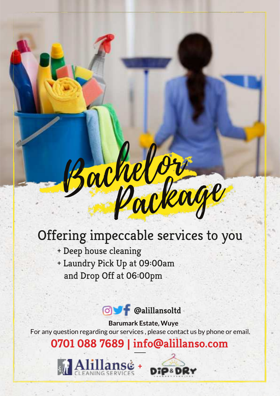# Bachelor Package

### Offering impeccable services to you

- + Deep house cleaning
- + Laundry Pick Up at 09:00am and Drop Off at 06:00pm

**@M** @alillansoltd

 Barumark Estate, Wuye For any question regarding our services , please contact us by phone or email.

#### 0701 088 7689 | info@alillanso.com